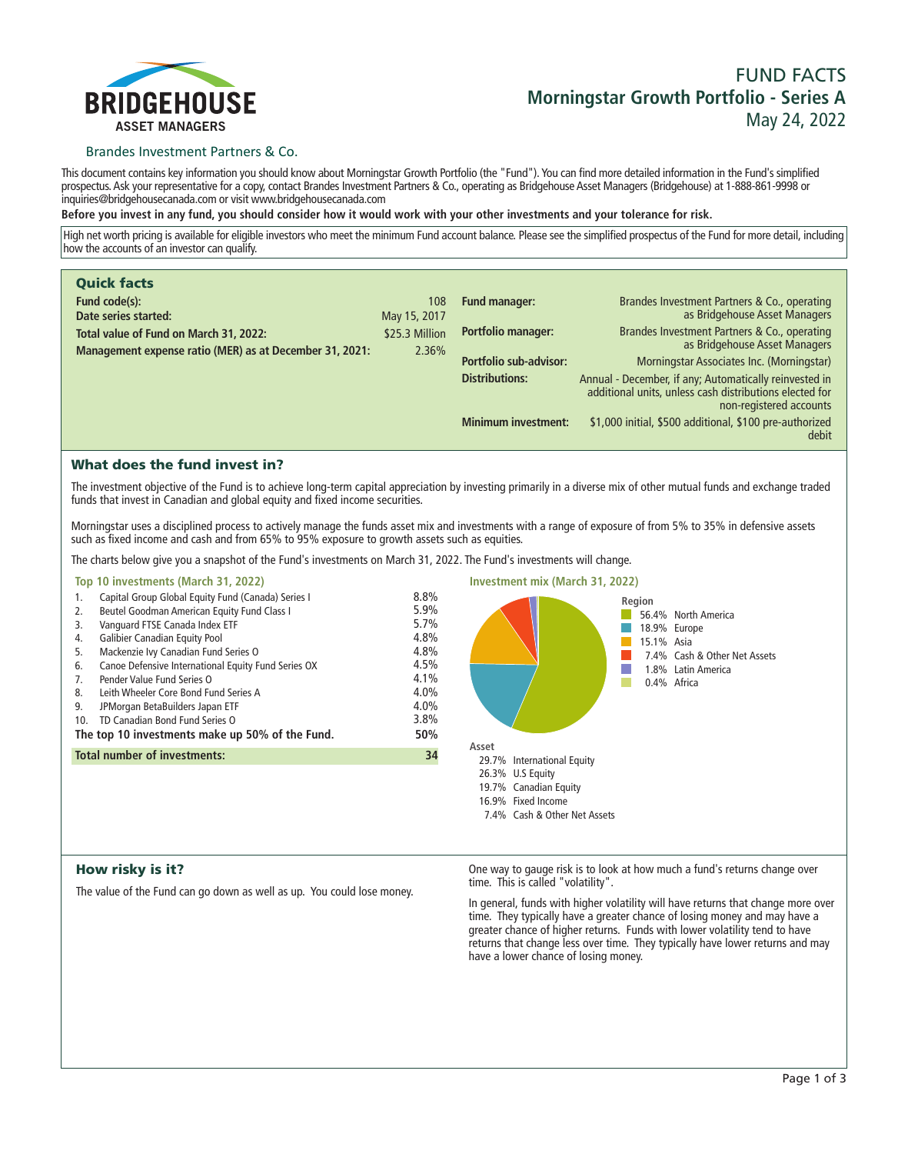

# **FUND FACTS Morningstar Growth Portfolio - Series A May 24, 2022**

# Brandes Investment Partners & Co.

**This document contains key information you should know about Morningstar Growth Portfolio (the "Fund"). You can find more detailed information in the Fund's simplified prospectus. Ask your representative for a copy, contact Brandes Investment Partners & Co., operating as Bridgehouse Asset Managers (Bridgehouse) at 1-888-861-9998 or inquiries@bridgehousecanada.com or visit www.bridgehousecanada.com**

**Before you invest in any fund, you should consider how it would work with your other investments and your tolerance for risk.**

**High net worth pricing is available for eligible investors who meet the minimum Fund account balance. Please see the simplified prospectus of the Fund for more detail, including how the accounts of an investor can qualify.**

| <b>Quick facts</b>                                      |                |                            |                                                                                                                                              |
|---------------------------------------------------------|----------------|----------------------------|----------------------------------------------------------------------------------------------------------------------------------------------|
| Fund code(s):                                           | 108            | Fund manager:              | Brandes Investment Partners & Co., operating                                                                                                 |
| Date series started:                                    | May 15, 2017   |                            | as Bridgehouse Asset Managers                                                                                                                |
| Total value of Fund on March 31, 2022:                  | \$25.3 Million | Portfolio manager:         | Brandes Investment Partners & Co., operating<br>as Bridgehouse Asset Managers                                                                |
| Management expense ratio (MER) as at December 31, 2021: | 2.36%          |                            |                                                                                                                                              |
|                                                         |                | Portfolio sub-advisor:     | Morningstar Associates Inc. (Morningstar)                                                                                                    |
|                                                         |                | <b>Distributions:</b>      | Annual - December, if any; Automatically reinvested in<br>additional units, unless cash distributions elected for<br>non-registered accounts |
|                                                         |                | <b>Minimum investment:</b> | \$1,000 initial, \$500 additional, \$100 pre-authorized<br>debit                                                                             |

# What does the fund invest in?

**The investment objective of the Fund is to achieve long-term capital appreciation by investing primarily in a diverse mix of other mutual funds and exchange traded funds that invest in Canadian and global equity and fixed income securities.** 

**Morningstar uses a disciplined process to actively manage the funds asset mix and investments with a range of exposure of from 5% to 35% in defensive assets such as fixed income and cash and from 65% to 95% exposure to growth assets such as equities.**

**The charts below give you a snapshot of the Fund's investments on March 31, 2022. The Fund's investments will change.**

| Top 10 investments (March 31, 2022)                                                                                                                                                                                                                                                                                                                                                                                                                                                                                                                |                                                                                     | <b>Investment mix (March 31, 2022)</b>    |                                                                                                                                  |
|----------------------------------------------------------------------------------------------------------------------------------------------------------------------------------------------------------------------------------------------------------------------------------------------------------------------------------------------------------------------------------------------------------------------------------------------------------------------------------------------------------------------------------------------------|-------------------------------------------------------------------------------------|-------------------------------------------|----------------------------------------------------------------------------------------------------------------------------------|
| Capital Group Global Equity Fund (Canada) Series I<br>1.<br>Beutel Goodman American Equity Fund Class I<br>2.<br>Vanguard FTSE Canada Index ETF<br>3.<br><b>Galibier Canadian Equity Pool</b><br>4.<br>Mackenzie Ivy Canadian Fund Series O<br>5.<br>Canoe Defensive International Equity Fund Series OX<br>6.<br>Pender Value Fund Series O<br>7.<br>Leith Wheeler Core Bond Fund Series A<br>8.<br>9.<br>JPMorgan BetaBuilders Japan ETF<br>TD Canadian Bond Fund Series O<br>10 <sub>1</sub><br>The top 10 investments make up 50% of the Fund. | 8.8%<br>5.9%<br>5.7%<br>4.8%<br>4.8%<br>4.5%<br>4.1%<br>4.0%<br>4.0%<br>3.8%<br>50% | Asset                                     | Region<br>56.4% North America<br>18.9% Europe<br>15.1% Asia<br>7.4% Cash & Other Net Assets<br>1.8% Latin America<br>0.4% Africa |
| <b>Total number of investments:</b>                                                                                                                                                                                                                                                                                                                                                                                                                                                                                                                | 34                                                                                  | 29.7% International Equity                |                                                                                                                                  |
|                                                                                                                                                                                                                                                                                                                                                                                                                                                                                                                                                    |                                                                                     | 26.3% U.S Equity<br>19.7% Canadian Equity |                                                                                                                                  |

**16.9% Fixed Income**

**7.4% Cash & Other Net Assets**

# How risky is it?

**The value of the Fund can go down as well as up. You could lose money.**

**One way to gauge risk is to look at how much a fund's returns change over time. This is called "volatility".**

**In general, funds with higher volatility will have returns that change more over time. They typically have a greater chance of losing money and may have a greater chance of higher returns. Funds with lower volatility tend to have returns that change less over time. They typically have lower returns and may have a lower chance of losing money.**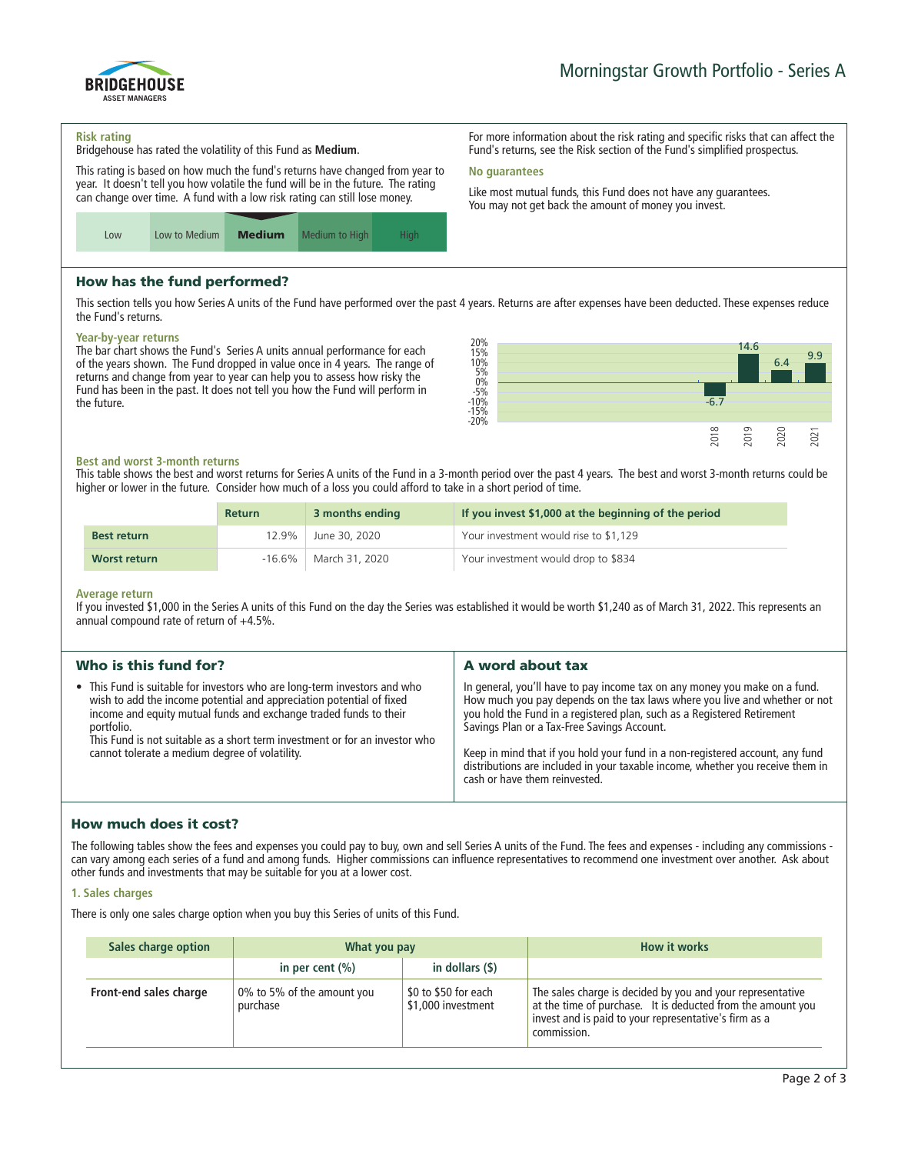

#### **Risk rating**

ASSET MANAGERS

BRIDGEHOUSE

**Bridgehouse has rated the volatility of this Fund as Medium.**

**This rating is based on how much the fund's returns have changed from year to year. It doesn't tell you how volatile the fund will be in the future. The rating can change over time. A fund with a low risk rating can still lose money.**



# How has the fund performed?

**This section tells you how Series A units of the Fund have performed over the past 4 years. Returns are after expenses have been deducted. These expenses reduce the Fund's returns.**

**No guarantees**

#### **Year-by-year returns**

**The bar chart shows the Fund's Series A units annual performance for each of the years shown. The Fund dropped in value once in 4 years. The range of returns and change from year to year can help you to assess how risky the Fund has been in the past. It does not tell you how the Fund will perform in the future.**



**For more information about the risk rating and specific risks that can affect the Fund's returns, see the Risk section of the Fund's simplified prospectus.**

**Like most mutual funds, this Fund does not have any guarantees. You may not get back the amount of money you invest.**

#### **Best and worst 3-month returns**

**This table shows the best and worst returns for Series A units of the Fund in a 3-month period over the past 4 years. The best and worst 3-month returns could be higher or lower in the future. Consider how much of a loss you could afford to take in a short period of time.**

|                    | <b>Return</b> | 3 months ending | If you invest \$1,000 at the beginning of the period |
|--------------------|---------------|-----------------|------------------------------------------------------|
| <b>Best return</b> | 12.9%         | June 30, 2020   | Your investment would rise to \$1,129                |
| Worst return       | $-16.6\%$     | March 31, 2020  | Your investment would drop to \$834                  |

#### **Average return**

**If you invested \$1,000 in the Series A units of this Fund on the day the Series was established it would be worth \$1,240 as of March 31, 2022. This represents an annual compound rate of return of +4.5%.**

| Who is this fund for?                                                                                                                                                                                                                                                                                                                                                 | A word about tax                                                                                                                                                                                                                                                                                                                                                                                                                                                                       |
|-----------------------------------------------------------------------------------------------------------------------------------------------------------------------------------------------------------------------------------------------------------------------------------------------------------------------------------------------------------------------|----------------------------------------------------------------------------------------------------------------------------------------------------------------------------------------------------------------------------------------------------------------------------------------------------------------------------------------------------------------------------------------------------------------------------------------------------------------------------------------|
| • This Fund is suitable for investors who are long-term investors and who<br>wish to add the income potential and appreciation potential of fixed<br>income and equity mutual funds and exchange traded funds to their<br>portfolio.<br>This Fund is not suitable as a short term investment or for an investor who<br>cannot tolerate a medium degree of volatility. | In general, you'll have to pay income tax on any money you make on a fund.<br>How much you pay depends on the tax laws where you live and whether or not<br>you hold the Fund in a registered plan, such as a Registered Retirement<br>Savings Plan or a Tax-Free Savings Account.<br>Keep in mind that if you hold your fund in a non-registered account, any fund<br>distributions are included in your taxable income, whether you receive them in<br>cash or have them reinvested. |
|                                                                                                                                                                                                                                                                                                                                                                       |                                                                                                                                                                                                                                                                                                                                                                                                                                                                                        |

# How much does it cost?

**The following tables show the fees and expenses you could pay to buy, own and sell Series A units of the Fund. The fees and expenses - including any commissions can vary among each series of a fund and among funds. Higher commissions can influence representatives to recommend one investment over another. Ask about other funds and investments that may be suitable for you at a lower cost.**

### **1. Sales charges**

**There is only one sales charge option when you buy this Series of units of this Fund.**

| Sales charge option    | What you pay                           |                                            | <b>How it works</b>                                                                                                                                                                               |
|------------------------|----------------------------------------|--------------------------------------------|---------------------------------------------------------------------------------------------------------------------------------------------------------------------------------------------------|
|                        | in per cent $(\% )$                    | in dollars $($ \$)                         |                                                                                                                                                                                                   |
| Front-end sales charge | 0% to 5% of the amount you<br>purchase | \$0 to \$50 for each<br>\$1,000 investment | The sales charge is decided by you and your representative<br>at the time of purchase. It is deducted from the amount you<br>invest and is paid to your representative's firm as a<br>commission. |